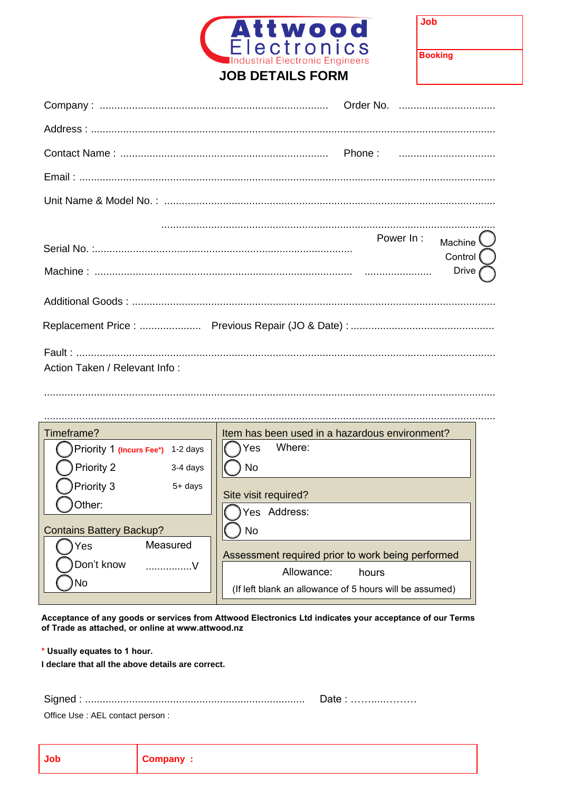

 $\ddot{\phantom{a}}$ 

|                               |  | Power In : $M$ achine $\bigcirc$<br>Control $\bigcap$ |
|-------------------------------|--|-------------------------------------------------------|
|                               |  | Drive $\bigcap$                                       |
|                               |  |                                                       |
|                               |  |                                                       |
| Action Taken / Relevant Info: |  |                                                       |

| Timeframe?                        | Item has been used in a hazardous environment?          |
|-----------------------------------|---------------------------------------------------------|
| Priority 1 (Incurs Fee*) 1-2 days | Where:<br>Yes                                           |
| Priority 2<br>3-4 days            | <b>No</b>                                               |
| Priority 3<br>5+ days             | Site visit required?                                    |
| Other:                            | Yes Address:                                            |
| <b>Contains Battery Backup?</b>   | No                                                      |
| Measured<br>Yes                   |                                                         |
| Don't know<br><b>V</b> . 7        | Assessment required prior to work being performed       |
|                                   | Allowance:<br>hours                                     |
| ۱No                               | (If left blank an allowance of 5 hours will be assumed) |
|                                   |                                                         |

Acceptance of any goods or services from Attwood Electronics Ltd indicates your acceptance of our Terms of Trade as attached, or online at www.attwood.nz

\* Usually equates to 1 hour.

I declare that all the above details are correct.

Office Use : AEL contact person :

| <b>Job</b> | Company : |
|------------|-----------|
|------------|-----------|